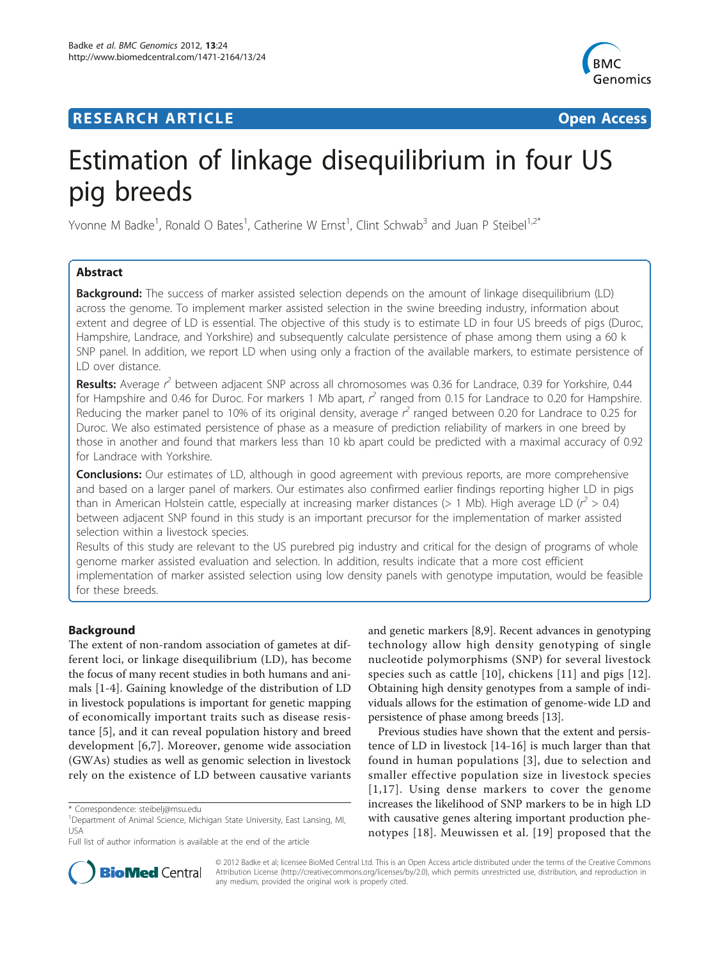# **RESEARCH ARTICLE Example 2018 12:30 THE Open Access**



# Estimation of linkage disequilibrium in four US pig breeds

Yvonne M Badke<sup>1</sup>, Ronald O Bates<sup>1</sup>, Catherine W Ernst<sup>1</sup>, Clint Schwab<sup>3</sup> and Juan P Steibel<sup>1,2\*</sup>

# Abstract

**Background:** The success of marker assisted selection depends on the amount of linkage disequilibrium (LD) across the genome. To implement marker assisted selection in the swine breeding industry, information about extent and degree of LD is essential. The objective of this study is to estimate LD in four US breeds of pigs (Duroc, Hampshire, Landrace, and Yorkshire) and subsequently calculate persistence of phase among them using a 60 k SNP panel. In addition, we report LD when using only a fraction of the available markers, to estimate persistence of LD over distance.

Results: Average r<sup>2</sup> between adjacent SNP across all chromosomes was 0.36 for Landrace, 0.39 for Yorkshire, 0.44 for Hampshire and 0.46 for Duroc. For markers 1 Mb apart,  $r^2$  ranged from 0.15 for Landrace to 0.20 for Hampshire. Reducing the marker panel to 10% of its original density, average  $r^2$  ranged between 0.20 for Landrace to 0.25 for Duroc. We also estimated persistence of phase as a measure of prediction reliability of markers in one breed by those in another and found that markers less than 10 kb apart could be predicted with a maximal accuracy of 0.92 for Landrace with Yorkshire.

**Conclusions:** Our estimates of LD, although in good agreement with previous reports, are more comprehensive and based on a larger panel of markers. Our estimates also confirmed earlier findings reporting higher LD in pigs than in American Holstein cattle, especially at increasing marker distances (> 1 Mb). High average LD ( $r^2$  > 0.4) between adjacent SNP found in this study is an important precursor for the implementation of marker assisted selection within a livestock species.

Results of this study are relevant to the US purebred pig industry and critical for the design of programs of whole genome marker assisted evaluation and selection. In addition, results indicate that a more cost efficient implementation of marker assisted selection using low density panels with genotype imputation, would be feasible for these breeds.

# Background

The extent of non-random association of gametes at different loci, or linkage disequilibrium (LD), has become the focus of many recent studies in both humans and animals [\[1](#page-8-0)-[4\]](#page-8-0). Gaining knowledge of the distribution of LD in livestock populations is important for genetic mapping of economically important traits such as disease resistance [[5](#page-8-0)], and it can reveal population history and breed development [\[6,7\]](#page-8-0). Moreover, genome wide association (GWAs) studies as well as genomic selection in livestock rely on the existence of LD between causative variants

and genetic markers [\[8,9](#page-8-0)]. Recent advances in genotyping technology allow high density genotyping of single nucleotide polymorphisms (SNP) for several livestock species such as cattle [[10\]](#page-8-0), chickens [[11](#page-8-0)] and pigs [[12\]](#page-8-0). Obtaining high density genotypes from a sample of individuals allows for the estimation of genome-wide LD and persistence of phase among breeds [[13](#page-8-0)].

Previous studies have shown that the extent and persistence of LD in livestock [\[14](#page-8-0)-[16\]](#page-8-0) is much larger than that found in human populations [[3](#page-8-0)], due to selection and smaller effective population size in livestock species [[1,17](#page-8-0)]. Using dense markers to cover the genome increases the likelihood of SNP markers to be in high LD with causative genes altering important production phenotypes [[18\]](#page-8-0). Meuwissen et al. [[19\]](#page-9-0) proposed that the



© 2012 Badke et al; licensee BioMed Central Ltd. This is an Open Access article distributed under the terms of the Creative Commons Attribution License [\(http://creativecommons.org/licenses/by/2.0](http://creativecommons.org/licenses/by/2.0)), which permits unrestricted use, distribution, and reproduction in any medium, provided the original work is properly cited.

<sup>\*</sup> Correspondence: [steibelj@msu.edu](mailto:steibelj@msu.edu)

<sup>&</sup>lt;sup>1</sup>Department of Animal Science, Michigan State University, East Lansing, MI, USA

Full list of author information is available at the end of the article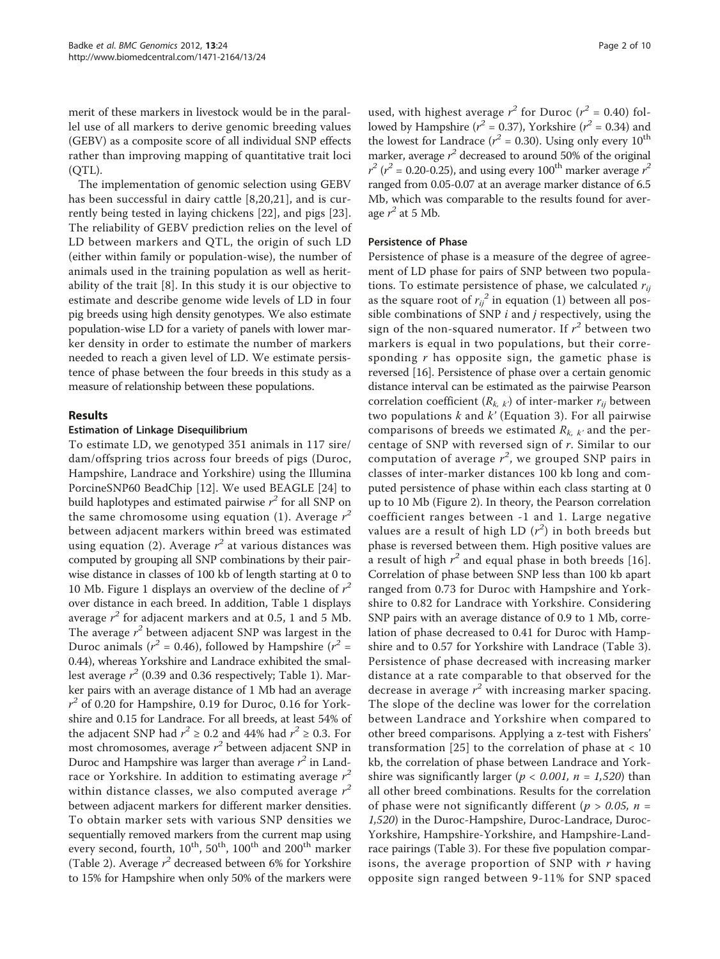merit of these markers in livestock would be in the parallel use of all markers to derive genomic breeding values (GEBV) as a composite score of all individual SNP effects rather than improving mapping of quantitative trait loci (QTL).

The implementation of genomic selection using GEBV has been successful in dairy cattle [\[8](#page-8-0),[20,21](#page-9-0)], and is currently being tested in laying chickens [\[22](#page-9-0)], and pigs [\[23](#page-9-0)]. The reliability of GEBV prediction relies on the level of LD between markers and QTL, the origin of such LD (either within family or population-wise), the number of animals used in the training population as well as heritability of the trait [[8\]](#page-8-0). In this study it is our objective to estimate and describe genome wide levels of LD in four pig breeds using high density genotypes. We also estimate population-wise LD for a variety of panels with lower marker density in order to estimate the number of markers needed to reach a given level of LD. We estimate persistence of phase between the four breeds in this study as a measure of relationship between these populations.

#### Results

#### Estimation of Linkage Disequilibrium

To estimate LD, we genotyped 351 animals in 117 sire/ dam/offspring trios across four breeds of pigs (Duroc, Hampshire, Landrace and Yorkshire) using the Illumina PorcineSNP60 BeadChip [\[12](#page-8-0)]. We used BEAGLE [\[24\]](#page-9-0) to build haplotypes and estimated pairwise  $r^2$  for all SNP on the same chromosome using equation (1). Average  $r^2$ between adjacent markers within breed was estimated using equation (2). Average  $r^2$  at various distances was computed by grouping all SNP combinations by their pairwise distance in classes of 100 kb of length starting at 0 to 10 Mb. Figure [1](#page-2-0) displays an overview of the decline of  $r^2$ over distance in each breed. In addition, Table [1](#page-2-0) displays average  $r^2$  for adjacent markers and at 0.5, 1 and 5 Mb. The average  $r^2$  between adjacent SNP was largest in the Duroc animals ( $r^2$  = 0.46), followed by Hampshire ( $r^2$  = 0.44), whereas Yorkshire and Landrace exhibited the smallest average  $r^2$  (0.39 and 0.36 respectively; Table [1\)](#page-2-0). Marker pairs with an average distance of 1 Mb had an average  $r^2$  of 0.20 for Hampshire, 0.19 for Duroc, 0.16 for Yorkshire and 0.15 for Landrace. For all breeds, at least 54% of the adjacent SNP had  $r^2 \ge 0.2$  and 44% had  $r^2 \ge 0.3$ . For most chromosomes, average  $r^2$  between adjacent SNP in Duroc and Hampshire was larger than average  $r^2$  in Landrace or Yorkshire. In addition to estimating average  $r^2$ within distance classes, we also computed average  $r^2$ between adjacent markers for different marker densities. To obtain marker sets with various SNP densities we sequentially removed markers from the current map using every second, fourth,  $10^{th}$ ,  $50^{th}$ ,  $100^{th}$  and  $200^{th}$  marker (Table [2](#page-3-0)). Average  $r^2$  decreased between 6% for Yorkshire to 15% for Hampshire when only 50% of the markers were

used, with highest average  $r^2$  for Duroc ( $r^2 = 0.40$ ) followed by Hampshire ( $r^2 = 0.37$ ), Yorkshire ( $r^2 = 0.34$ ) and the lowest for Landrace ( $r^2$  = 0.30). Using only every 10<sup>th</sup> marker, average  $r^2$  decreased to around 50% of the original  $r^2$  ( $r^2$  = 0.20-0.25), and using every 100<sup>th</sup> marker average  $r^2$ ranged from 0.05-0.07 at an average marker distance of 6.5 Mb, which was comparable to the results found for average  $r^2$  at 5 Mb.

#### Persistence of Phase

Persistence of phase is a measure of the degree of agreement of LD phase for pairs of SNP between two populations. To estimate persistence of phase, we calculated  $r_{ii}$ as the square root of  $r_{ij}^2$  in equation (1) between all possible combinations of SNP  $i$  and  $j$  respectively, using the sign of the non-squared numerator. If  $r^2$  between two markers is equal in two populations, but their corresponding  $r$  has opposite sign, the gametic phase is reversed [\[16](#page-8-0)]. Persistence of phase over a certain genomic distance interval can be estimated as the pairwise Pearson correlation coefficient  $(R_{k, k})$  of inter-marker  $r_{ij}$  between two populations  $k$  and  $k'$  (Equation 3). For all pairwise comparisons of breeds we estimated  $R_{k,k'}$  and the percentage of SNP with reversed sign of r. Similar to our computation of average  $r^2$ , we grouped SNP pairs in classes of inter-marker distances 100 kb long and computed persistence of phase within each class starting at 0 up to 10 Mb (Figure [2](#page-3-0)). In theory, the Pearson correlation coefficient ranges between -1 and 1. Large negative values are a result of high LD  $(r^2)$  in both breeds but phase is reversed between them. High positive values are a result of high  $r^2$  and equal phase in both breeds [[16](#page-8-0)]. Correlation of phase between SNP less than 100 kb apart ranged from 0.73 for Duroc with Hampshire and Yorkshire to 0.82 for Landrace with Yorkshire. Considering SNP pairs with an average distance of 0.9 to 1 Mb, correlation of phase decreased to 0.41 for Duroc with Hampshire and to 0.57 for Yorkshire with Landrace (Table [3](#page-4-0)). Persistence of phase decreased with increasing marker distance at a rate comparable to that observed for the decrease in average  $r^2$  with increasing marker spacing. The slope of the decline was lower for the correlation between Landrace and Yorkshire when compared to other breed comparisons. Applying a z-test with Fishers' transformation [[25\]](#page-9-0) to the correlation of phase at  $< 10$ kb, the correlation of phase between Landrace and Yorkshire was significantly larger ( $p < 0.001$ ,  $n = 1,520$ ) than all other breed combinations. Results for the correlation of phase were not significantly different ( $p > 0.05$ ,  $n =$ 1,520) in the Duroc-Hampshire, Duroc-Landrace, Duroc-Yorkshire, Hampshire-Yorkshire, and Hampshire-Landrace pairings (Table [3\)](#page-4-0). For these five population comparisons, the average proportion of SNP with  $r$  having opposite sign ranged between 9-11% for SNP spaced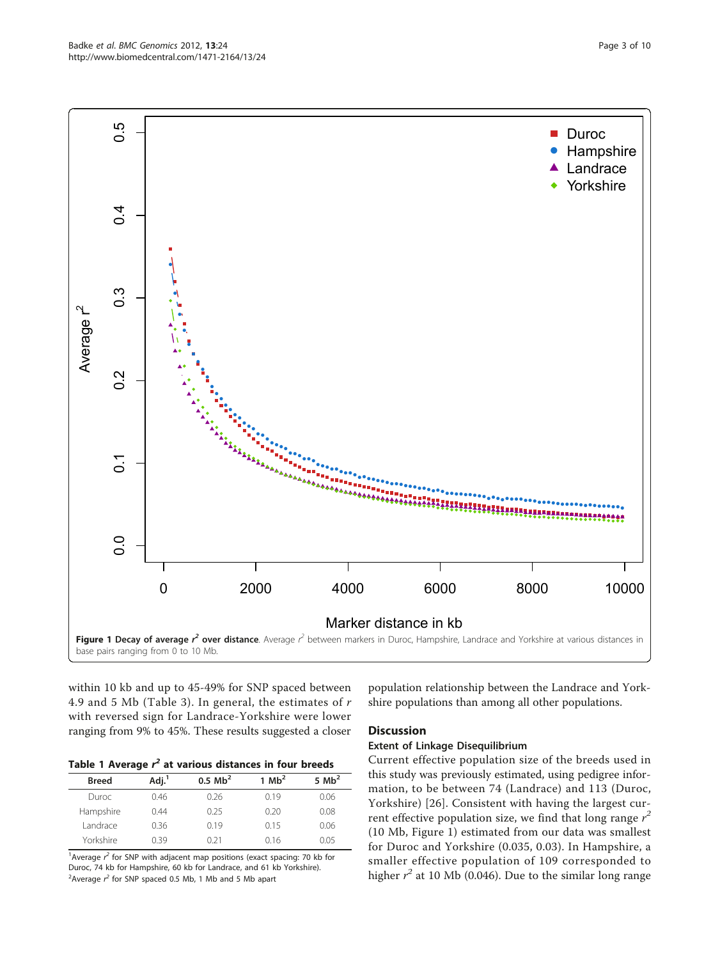<span id="page-2-0"></span>

within 10 kb and up to 45-49% for SNP spaced between 4.9 and 5 Mb (Table [3\)](#page-4-0). In general, the estimates of r with reversed sign for Landrace-Yorkshire were lower ranging from 9% to 45%. These results suggested a closer

| Table 1 Average $r^2$ at various distances in four breeds |  |  |  |  |  |  |  |  |  |  |
|-----------------------------------------------------------|--|--|--|--|--|--|--|--|--|--|
|-----------------------------------------------------------|--|--|--|--|--|--|--|--|--|--|

| <b>Breed</b> | Adj. <sup>1</sup> | $0.5$ Mb <sup>2</sup> | 1 $Mb2$ | 5 $Mb2$ |
|--------------|-------------------|-----------------------|---------|---------|
| Duroc.       | 0.46              | 0.26                  | 0.19    | 0.06    |
| Hampshire    | 0.44              | 0.25                  | 0.20    | 0.08    |
| Landrace     | 0.36              | 019                   | 0.15    | 0.06    |
| Yorkshire    | በ 39              | 0.21                  | 0.16    | O O5    |

<sup>1</sup> Average  $r^2$  for SNP with adjacent map positions (exact spacing: 70 kb for Duroc, 74 kb for Hampshire, 60 kb for Landrace, and 61 kb Yorkshire). <sup>2</sup> Average  $r^2$  for SNP spaced 0.5 Mb, 1 Mb and 5 Mb apart

population relationship between the Landrace and Yorkshire populations than among all other populations.

#### **Discussion**

#### Extent of Linkage Disequilibrium

Current effective population size of the breeds used in this study was previously estimated, using pedigree information, to be between 74 (Landrace) and 113 (Duroc, Yorkshire) [\[26](#page-9-0)]. Consistent with having the largest current effective population size, we find that long range  $r^2$ (10 Mb, Figure 1) estimated from our data was smallest for Duroc and Yorkshire (0.035, 0.03). In Hampshire, a smaller effective population of 109 corresponded to higher  $r^2$  at 10 Mb (0.046). Due to the similar long range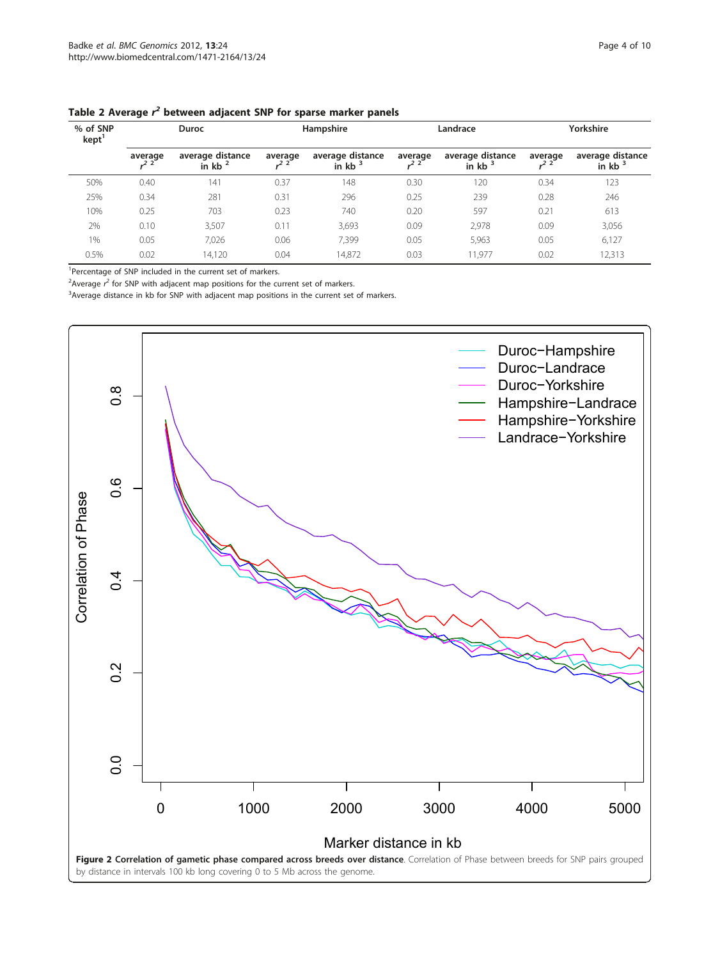| % of SNP<br>kept | <b>Duroc</b> |                               | Hampshire |                               | Landrace |                               | Yorkshire |                               |
|------------------|--------------|-------------------------------|-----------|-------------------------------|----------|-------------------------------|-----------|-------------------------------|
|                  | average      | average distance<br>in $kb^2$ | average   | average distance<br>in $kb^3$ | average  | average distance<br>in $kb^3$ | average   | average distance<br>in $kb^3$ |
| 50%              | 0.40         | 141                           | 0.37      | 148                           | 0.30     | 120                           | 0.34      | 123                           |
| 25%              | 0.34         | 281                           | 0.31      | 296                           | 0.25     | 239                           | 0.28      | 246                           |
| 10%              | 0.25         | 703                           | 0.23      | 740                           | 0.20     | 597                           | 0.21      | 613                           |
| 2%               | 0.10         | 3,507                         | 0.11      | 3,693                         | 0.09     | 2,978                         | 0.09      | 3,056                         |
| $1\%$            | 0.05         | 7,026                         | 0.06      | 7,399                         | 0.05     | 5,963                         | 0.05      | 6,127                         |
| 0.5%             | 0.02         | 14,120                        | 0.04      | 14,872                        | 0.03     | 11,977                        | 0.02      | 12,313                        |

<span id="page-3-0"></span>

<sup>1</sup>Percentage of SNP included in the current set of markers.

<sup>2</sup> Average  $r^2$  for SNP with adjacent map positions for the current set of markers.

<sup>3</sup> Average distance in kb for SNP with adjacent map positions in the current set of markers.

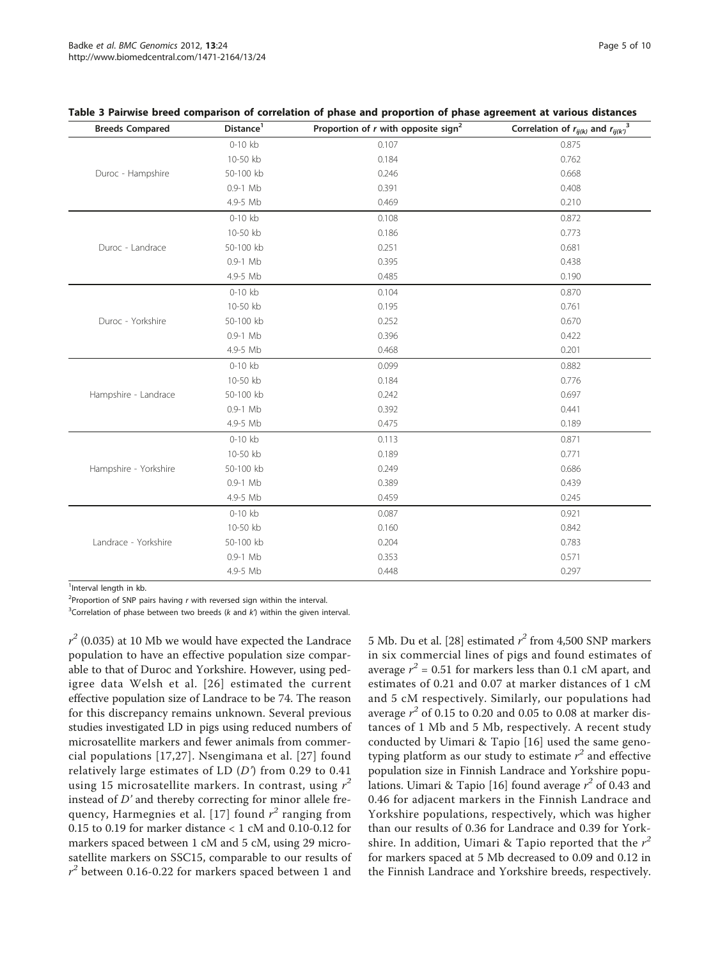| <b>Breeds Compared</b> | Distance <sup>1</sup> | Proportion of $r$ with opposite sign <sup>2</sup> | Correlation of $r_{ij(k)}$ and $r_{ij(k)}^3$ |
|------------------------|-----------------------|---------------------------------------------------|----------------------------------------------|
|                        | 0-10 kb               | 0.107                                             | 0.875                                        |
|                        | 10-50 kb              | 0.184                                             | 0.762                                        |
| Duroc - Hampshire      | 50-100 kb             | 0.246                                             | 0.668                                        |
|                        | $0.9-1$ Mb            | 0.391                                             | 0.408                                        |
|                        | 4.9-5 Mb              | 0.469                                             | 0.210                                        |
|                        | 0-10 kb               | 0.108                                             | 0.872                                        |
|                        | 10-50 kb              | 0.186                                             | 0.773                                        |
| Duroc - Landrace       | 50-100 kb             | 0.251                                             | 0.681                                        |
|                        | $0.9-1$ Mb            | 0.395                                             | 0.438                                        |
|                        | 4.9-5 Mb              | 0.485                                             | 0.190                                        |
|                        | 0-10 kb               | 0.104                                             | 0.870                                        |
|                        | 10-50 kb              | 0.195                                             | 0.761                                        |
| Duroc - Yorkshire      | 50-100 kb             | 0.252                                             | 0.670                                        |
|                        | $0.9-1$ Mb            | 0.396                                             | 0.422                                        |
|                        | 4.9-5 Mb              | 0.468                                             | 0.201                                        |
|                        | $0-10$ kb             | 0.099                                             | 0.882                                        |
|                        | 10-50 kb              | 0.184                                             | 0.776                                        |
| Hampshire - Landrace   | 50-100 kb             | 0.242                                             | 0.697                                        |
|                        | $0.9-1$ Mb            | 0.392                                             | 0.441                                        |
|                        | 4.9-5 Mb              | 0.475                                             | 0.189                                        |
|                        | $0-10$ kb             | 0.113                                             | 0.871                                        |
|                        | 10-50 kb              | 0.189                                             | 0.771                                        |
| Hampshire - Yorkshire  | 50-100 kb             | 0.249                                             | 0.686                                        |
|                        | $0.9-1$ Mb            | 0.389                                             | 0.439                                        |
|                        | 4.9-5 Mb              | 0.459                                             | 0.245                                        |
|                        | 0-10 kb               | 0.087                                             | 0.921                                        |
|                        | 10-50 kb              | 0.160                                             | 0.842                                        |
| Landrace - Yorkshire   | 50-100 kb             | 0.204                                             | 0.783                                        |
|                        | $0.9-1$ Mb            | 0.353                                             | 0.571                                        |
|                        | 4.9-5 Mb              | 0.448                                             | 0.297                                        |

#### <span id="page-4-0"></span>Table 3 Pairwise breed comparison of correlation of phase and proportion of phase agreement at various distances

<sup>1</sup>Interval length in kb.

<sup>2</sup>Proportion of SNP pairs having r with reversed sign within the interval.

<sup>3</sup>Correlation of phase between two breeds ( $k$  and  $k$ ) within the given interval.

 $r^2$  (0.035) at 10 Mb we would have expected the Landrace population to have an effective population size comparable to that of Duroc and Yorkshire. However, using pedigree data Welsh et al. [[26](#page-9-0)] estimated the current effective population size of Landrace to be 74. The reason for this discrepancy remains unknown. Several previous studies investigated LD in pigs using reduced numbers of microsatellite markers and fewer animals from commercial populations [[17,](#page-8-0)[27](#page-9-0)]. Nsengimana et al. [[27\]](#page-9-0) found relatively large estimates of LD  $(D')$  from 0.29 to 0.41 using 15 microsatellite markers. In contrast, using  $r^2$ instead of D' and thereby correcting for minor allele fre-quency, Harmegnies et al. [[17](#page-8-0)] found  $r^2$  ranging from 0.15 to 0.19 for marker distance < 1 cM and 0.10-0.12 for markers spaced between 1 cM and 5 cM, using 29 microsatellite markers on SSC15, comparable to our results of  $r^2$  between 0.16-0.22 for markers spaced between 1 and

5 Mb. Du et al. [\[28](#page-9-0)] estimated  $r^2$  from 4,500 SNP markers in six commercial lines of pigs and found estimates of average  $r^2$  = 0.51 for markers less than 0.1 cM apart, and estimates of 0.21 and 0.07 at marker distances of 1 cM and 5 cM respectively. Similarly, our populations had average  $r^2$  of 0.15 to 0.20 and 0.05 to 0.08 at marker distances of 1 Mb and 5 Mb, respectively. A recent study conducted by Uimari & Tapio [[16\]](#page-8-0) used the same genotyping platform as our study to estimate  $r^2$  and effective population size in Finnish Landrace and Yorkshire popu-lations. Uimari & Tapio [[16](#page-8-0)] found average  $r^2$  of 0.43 and 0.46 for adjacent markers in the Finnish Landrace and Yorkshire populations, respectively, which was higher than our results of 0.36 for Landrace and 0.39 for Yorkshire. In addition, Uimari & Tapio reported that the  $r^2$ for markers spaced at 5 Mb decreased to 0.09 and 0.12 in the Finnish Landrace and Yorkshire breeds, respectively.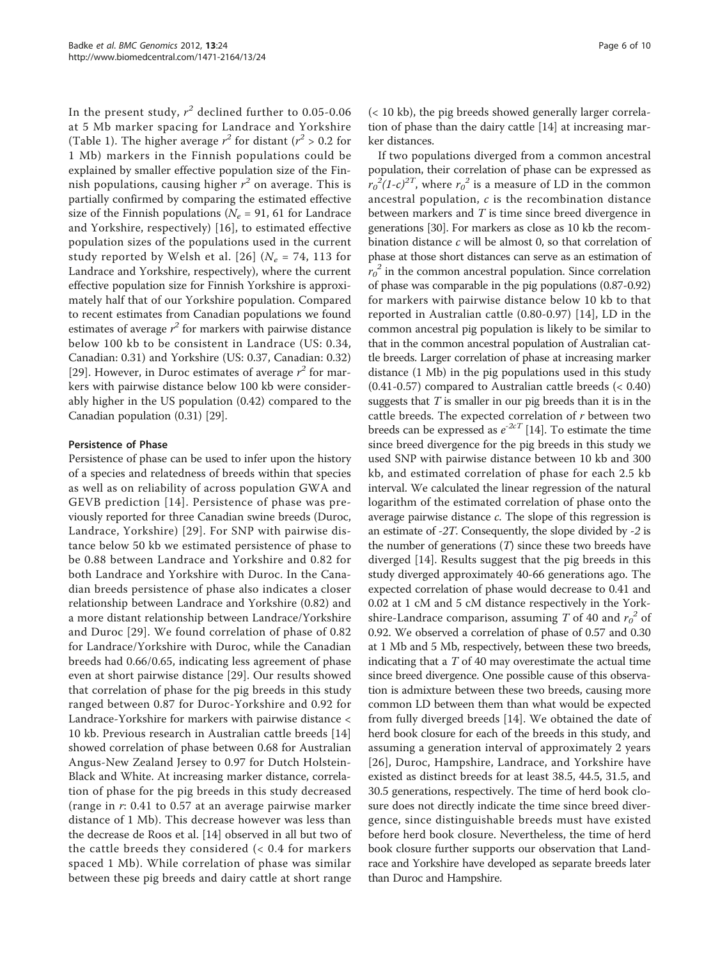In the present study,  $r^2$  declined further to 0.05-0.06 at 5 Mb marker spacing for Landrace and Yorkshire (Table [1\)](#page-2-0). The higher average  $r^2$  for distant ( $r^2 > 0.2$  for 1 Mb) markers in the Finnish populations could be explained by smaller effective population size of the Finnish populations, causing higher  $r^2$  on average. This is partially confirmed by comparing the estimated effective size of the Finnish populations ( $N_e$  = 91, 61 for Landrace and Yorkshire, respectively) [[16](#page-8-0)], to estimated effective population sizes of the populations used in the current study reported by Welsh et al. [[26\]](#page-9-0) ( $N_e$  = 74, 113 for Landrace and Yorkshire, respectively), where the current effective population size for Finnish Yorkshire is approximately half that of our Yorkshire population. Compared to recent estimates from Canadian populations we found estimates of average  $r^2$  for markers with pairwise distance below 100 kb to be consistent in Landrace (US: 0.34, Canadian: 0.31) and Yorkshire (US: 0.37, Canadian: 0.32) [[29\]](#page-9-0). However, in Duroc estimates of average  $r^2$  for markers with pairwise distance below 100 kb were considerably higher in the US population (0.42) compared to the Canadian population (0.31) [\[29\]](#page-9-0).

# Persistence of Phase

Persistence of phase can be used to infer upon the history of a species and relatedness of breeds within that species as well as on reliability of across population GWA and GEVB prediction [\[14](#page-8-0)]. Persistence of phase was previously reported for three Canadian swine breeds (Duroc, Landrace, Yorkshire) [[29\]](#page-9-0). For SNP with pairwise distance below 50 kb we estimated persistence of phase to be 0.88 between Landrace and Yorkshire and 0.82 for both Landrace and Yorkshire with Duroc. In the Canadian breeds persistence of phase also indicates a closer relationship between Landrace and Yorkshire (0.82) and a more distant relationship between Landrace/Yorkshire and Duroc [\[29\]](#page-9-0). We found correlation of phase of 0.82 for Landrace/Yorkshire with Duroc, while the Canadian breeds had 0.66/0.65, indicating less agreement of phase even at short pairwise distance [[29](#page-9-0)]. Our results showed that correlation of phase for the pig breeds in this study ranged between 0.87 for Duroc-Yorkshire and 0.92 for Landrace-Yorkshire for markers with pairwise distance < 10 kb. Previous research in Australian cattle breeds [\[14](#page-8-0)] showed correlation of phase between 0.68 for Australian Angus-New Zealand Jersey to 0.97 for Dutch Holstein-Black and White. At increasing marker distance, correlation of phase for the pig breeds in this study decreased (range in r: 0.41 to 0.57 at an average pairwise marker distance of 1 Mb). This decrease however was less than the decrease de Roos et al. [\[14](#page-8-0)] observed in all but two of the cattle breeds they considered (< 0.4 for markers spaced 1 Mb). While correlation of phase was similar between these pig breeds and dairy cattle at short range

(< 10 kb), the pig breeds showed generally larger correlation of phase than the dairy cattle [\[14](#page-8-0)] at increasing marker distances.

If two populations diverged from a common ancestral population, their correlation of phase can be expressed as  $r_0^2 (1-c)^{2T}$ , where  $r_0^2$  is a measure of LD in the common ancestral population, c is the recombination distance between markers and T is time since breed divergence in generations [\[30](#page-9-0)]. For markers as close as 10 kb the recombination distance  $c$  will be almost 0, so that correlation of phase at those short distances can serve as an estimation of  $r_0^2$  in the common ancestral population. Since correlation of phase was comparable in the pig populations (0.87-0.92) for markers with pairwise distance below 10 kb to that reported in Australian cattle (0.80-0.97) [\[14](#page-8-0)], LD in the common ancestral pig population is likely to be similar to that in the common ancestral population of Australian cattle breeds. Larger correlation of phase at increasing marker distance (1 Mb) in the pig populations used in this study (0.41-0.57) compared to Australian cattle breeds (< 0.40) suggests that  $T$  is smaller in our pig breeds than it is in the cattle breeds. The expected correlation of r between two breeds can be expressed as  $e^{-2cT}$  [[14](#page-8-0)]. To estimate the time since breed divergence for the pig breeds in this study we used SNP with pairwise distance between 10 kb and 300 kb, and estimated correlation of phase for each 2.5 kb interval. We calculated the linear regression of the natural logarithm of the estimated correlation of phase onto the average pairwise distance c. The slope of this regression is an estimate of -2T. Consequently, the slope divided by -2 is the number of generations (T) since these two breeds have diverged [\[14](#page-8-0)]. Results suggest that the pig breeds in this study diverged approximately 40-66 generations ago. The expected correlation of phase would decrease to 0.41 and 0.02 at 1 cM and 5 cM distance respectively in the Yorkshire-Landrace comparison, assuming T of 40 and  $r_0^2$  of 0.92. We observed a correlation of phase of 0.57 and 0.30 at 1 Mb and 5 Mb, respectively, between these two breeds, indicating that a  $T$  of 40 may overestimate the actual time since breed divergence. One possible cause of this observation is admixture between these two breeds, causing more common LD between them than what would be expected from fully diverged breeds [[14\]](#page-8-0). We obtained the date of herd book closure for each of the breeds in this study, and assuming a generation interval of approximately 2 years [[26](#page-9-0)], Duroc, Hampshire, Landrace, and Yorkshire have existed as distinct breeds for at least 38.5, 44.5, 31.5, and 30.5 generations, respectively. The time of herd book closure does not directly indicate the time since breed divergence, since distinguishable breeds must have existed before herd book closure. Nevertheless, the time of herd book closure further supports our observation that Landrace and Yorkshire have developed as separate breeds later than Duroc and Hampshire.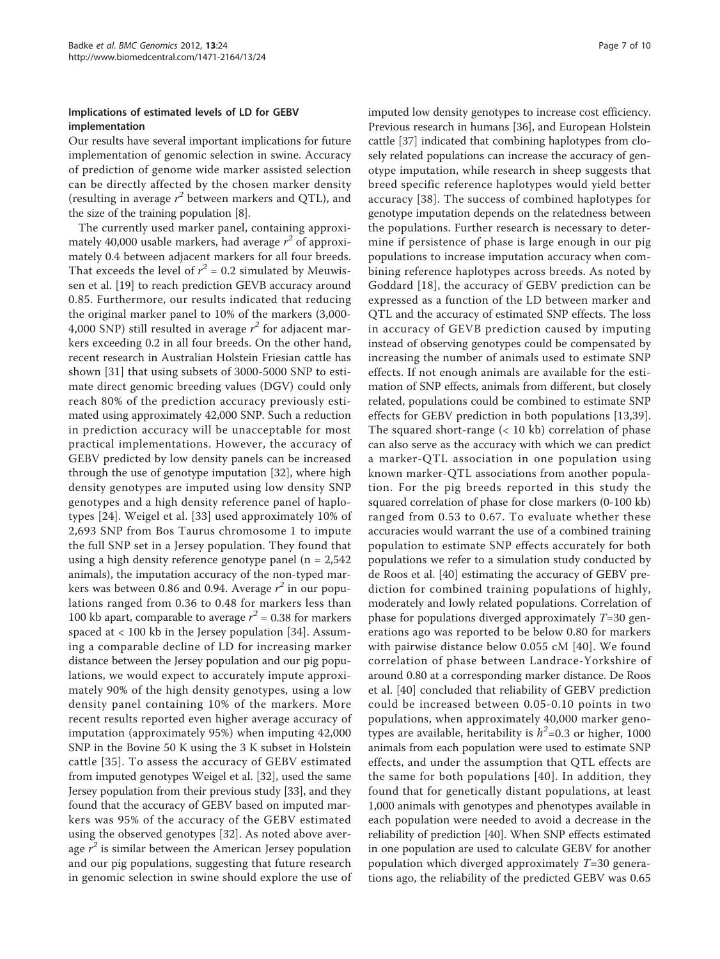# Implications of estimated levels of LD for GEBV implementation

Our results have several important implications for future implementation of genomic selection in swine. Accuracy of prediction of genome wide marker assisted selection can be directly affected by the chosen marker density (resulting in average  $r^2$  between markers and QTL), and the size of the training population [\[8](#page-8-0)].

The currently used marker panel, containing approximately 40,000 usable markers, had average  $r^2$  of approximately 0.4 between adjacent markers for all four breeds. That exceeds the level of  $r^2 = 0.2$  simulated by Meuwissen et al. [[19](#page-9-0)] to reach prediction GEVB accuracy around 0.85. Furthermore, our results indicated that reducing the original marker panel to 10% of the markers (3,000- 4,000 SNP) still resulted in average  $r^2$  for adjacent markers exceeding 0.2 in all four breeds. On the other hand, recent research in Australian Holstein Friesian cattle has shown [[31\]](#page-9-0) that using subsets of 3000-5000 SNP to estimate direct genomic breeding values (DGV) could only reach 80% of the prediction accuracy previously estimated using approximately 42,000 SNP. Such a reduction in prediction accuracy will be unacceptable for most practical implementations. However, the accuracy of GEBV predicted by low density panels can be increased through the use of genotype imputation [[32\]](#page-9-0), where high density genotypes are imputed using low density SNP genotypes and a high density reference panel of haplotypes [\[24\]](#page-9-0). Weigel et al. [[33\]](#page-9-0) used approximately 10% of 2,693 SNP from Bos Taurus chromosome 1 to impute the full SNP set in a Jersey population. They found that using a high density reference genotype panel ( $n = 2.542$ ) animals), the imputation accuracy of the non-typed markers was between 0.86 and 0.94. Average  $r^2$  in our populations ranged from 0.36 to 0.48 for markers less than 100 kb apart, comparable to average  $r^2 = 0.38$  for markers spaced at  $< 100$  kb in the Jersey population [[34\]](#page-9-0). Assuming a comparable decline of LD for increasing marker distance between the Jersey population and our pig populations, we would expect to accurately impute approximately 90% of the high density genotypes, using a low density panel containing 10% of the markers. More recent results reported even higher average accuracy of imputation (approximately 95%) when imputing 42,000 SNP in the Bovine 50 K using the 3 K subset in Holstein cattle [[35](#page-9-0)]. To assess the accuracy of GEBV estimated from imputed genotypes Weigel et al. [\[32\]](#page-9-0), used the same Jersey population from their previous study [\[33\]](#page-9-0), and they found that the accuracy of GEBV based on imputed markers was 95% of the accuracy of the GEBV estimated using the observed genotypes [[32](#page-9-0)]. As noted above average  $r^2$  is similar between the American Jersey population and our pig populations, suggesting that future research in genomic selection in swine should explore the use of imputed low density genotypes to increase cost efficiency. Previous research in humans [\[36](#page-9-0)], and European Holstein cattle [[37\]](#page-9-0) indicated that combining haplotypes from closely related populations can increase the accuracy of genotype imputation, while research in sheep suggests that breed specific reference haplotypes would yield better accuracy [[38](#page-9-0)]. The success of combined haplotypes for genotype imputation depends on the relatedness between the populations. Further research is necessary to determine if persistence of phase is large enough in our pig populations to increase imputation accuracy when combining reference haplotypes across breeds. As noted by Goddard [[18\]](#page-8-0), the accuracy of GEBV prediction can be expressed as a function of the LD between marker and QTL and the accuracy of estimated SNP effects. The loss in accuracy of GEVB prediction caused by imputing instead of observing genotypes could be compensated by increasing the number of animals used to estimate SNP effects. If not enough animals are available for the estimation of SNP effects, animals from different, but closely related, populations could be combined to estimate SNP effects for GEBV prediction in both populations [[13](#page-8-0)[,39](#page-9-0)]. The squared short-range (< 10 kb) correlation of phase can also serve as the accuracy with which we can predict a marker-QTL association in one population using known marker-QTL associations from another population. For the pig breeds reported in this study the squared correlation of phase for close markers (0-100 kb) ranged from 0.53 to 0.67. To evaluate whether these accuracies would warrant the use of a combined training population to estimate SNP effects accurately for both populations we refer to a simulation study conducted by de Roos et al. [\[40](#page-9-0)] estimating the accuracy of GEBV prediction for combined training populations of highly, moderately and lowly related populations. Correlation of phase for populations diverged approximately  $T=30$  generations ago was reported to be below 0.80 for markers with pairwise distance below 0.055 cM [[40](#page-9-0)]. We found correlation of phase between Landrace-Yorkshire of around 0.80 at a corresponding marker distance. De Roos et al. [\[40](#page-9-0)] concluded that reliability of GEBV prediction could be increased between 0.05-0.10 points in two populations, when approximately 40,000 marker genotypes are available, heritability is  $h^2$ =0.3 or higher, 1000 animals from each population were used to estimate SNP effects, and under the assumption that QTL effects are the same for both populations [[40\]](#page-9-0). In addition, they found that for genetically distant populations, at least 1,000 animals with genotypes and phenotypes available in each population were needed to avoid a decrease in the reliability of prediction [\[40\]](#page-9-0). When SNP effects estimated in one population are used to calculate GEBV for another population which diverged approximately  $T=30$  generations ago, the reliability of the predicted GEBV was 0.65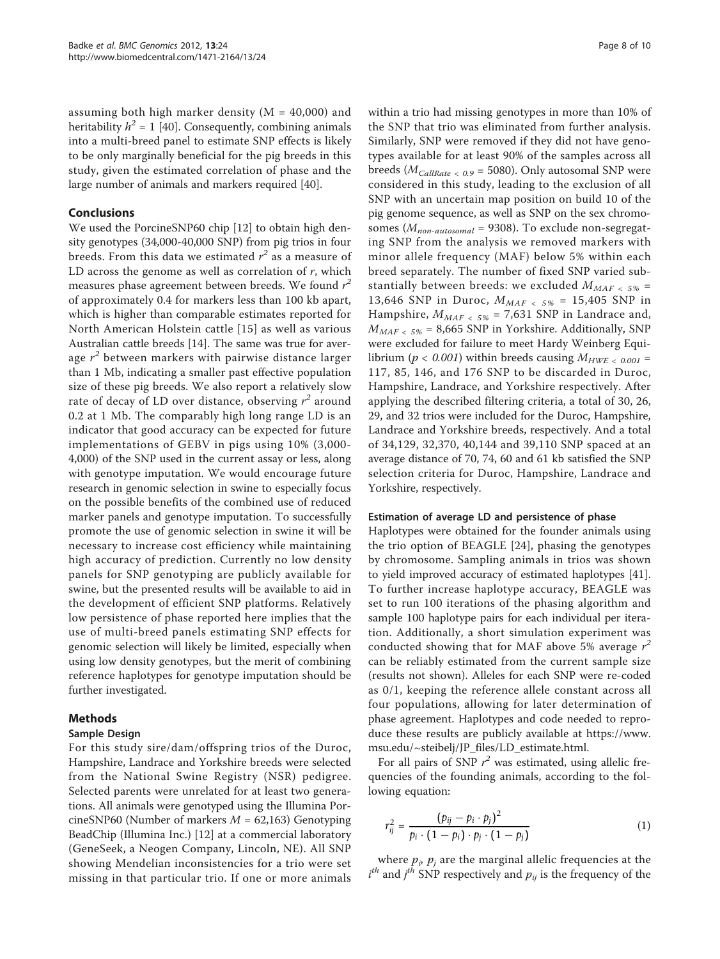assuming both high marker density ( $M = 40,000$ ) and heritability  $h^2 = 1$  [\[40](#page-9-0)]. Consequently, combining animals into a multi-breed panel to estimate SNP effects is likely to be only marginally beneficial for the pig breeds in this study, given the estimated correlation of phase and the large number of animals and markers required [[40](#page-9-0)].

#### Conclusions

We used the PorcineSNP60 chip [[12\]](#page-8-0) to obtain high density genotypes (34,000-40,000 SNP) from pig trios in four breeds. From this data we estimated  $r^2$  as a measure of LD across the genome as well as correlation of  $r$ , which measures phase agreement between breeds. We found  $r^2$ of approximately 0.4 for markers less than 100 kb apart, which is higher than comparable estimates reported for North American Holstein cattle [[15\]](#page-8-0) as well as various Australian cattle breeds [[14](#page-8-0)]. The same was true for average  $r^2$  between markers with pairwise distance larger than 1 Mb, indicating a smaller past effective population size of these pig breeds. We also report a relatively slow rate of decay of LD over distance, observing  $r^2$  around 0.2 at 1 Mb. The comparably high long range LD is an indicator that good accuracy can be expected for future implementations of GEBV in pigs using 10% (3,000- 4,000) of the SNP used in the current assay or less, along with genotype imputation. We would encourage future research in genomic selection in swine to especially focus on the possible benefits of the combined use of reduced marker panels and genotype imputation. To successfully promote the use of genomic selection in swine it will be necessary to increase cost efficiency while maintaining high accuracy of prediction. Currently no low density panels for SNP genotyping are publicly available for swine, but the presented results will be available to aid in the development of efficient SNP platforms. Relatively low persistence of phase reported here implies that the use of multi-breed panels estimating SNP effects for genomic selection will likely be limited, especially when using low density genotypes, but the merit of combining reference haplotypes for genotype imputation should be further investigated.

# Methods

#### Sample Design

For this study sire/dam/offspring trios of the Duroc, Hampshire, Landrace and Yorkshire breeds were selected from the National Swine Registry (NSR) pedigree. Selected parents were unrelated for at least two generations. All animals were genotyped using the Illumina PorcineSNP60 (Number of markers  $M = 62,163$ ) Genotyping BeadChip (Illumina Inc.) [\[12](#page-8-0)] at a commercial laboratory (GeneSeek, a Neogen Company, Lincoln, NE). All SNP showing Mendelian inconsistencies for a trio were set missing in that particular trio. If one or more animals within a trio had missing genotypes in more than 10% of the SNP that trio was eliminated from further analysis. Similarly, SNP were removed if they did not have genotypes available for at least 90% of the samples across all breeds ( $M_{CallRate}$  < 0.9 = 5080). Only autosomal SNP were considered in this study, leading to the exclusion of all SNP with an uncertain map position on build 10 of the pig genome sequence, as well as SNP on the sex chromosomes ( $M_{non-autosomal}$  = 9308). To exclude non-segregating SNP from the analysis we removed markers with minor allele frequency (MAF) below 5% within each breed separately. The number of fixed SNP varied substantially between breeds: we excluded  $M_{MAF \, \leq \, 5\%}$  = 13,646 SNP in Duroc,  $M_{MAF}$   $<$   $5\%$  = 15,405 SNP in Hampshire,  $M_{MAF \leq 5\%}$  = 7,631 SNP in Landrace and,  $M_{MAF \, \leq \, 5\%}$  = 8,665 SNP in Yorkshire. Additionally, SNP were excluded for failure to meet Hardy Weinberg Equilibrium ( $p < 0.001$ ) within breeds causing  $M_{HWE} < 0.001$  = 117, 85, 146, and 176 SNP to be discarded in Duroc, Hampshire, Landrace, and Yorkshire respectively. After applying the described filtering criteria, a total of 30, 26, 29, and 32 trios were included for the Duroc, Hampshire, Landrace and Yorkshire breeds, respectively. And a total of 34,129, 32,370, 40,144 and 39,110 SNP spaced at an average distance of 70, 74, 60 and 61 kb satisfied the SNP selection criteria for Duroc, Hampshire, Landrace and Yorkshire, respectively.

#### Estimation of average LD and persistence of phase

Haplotypes were obtained for the founder animals using the trio option of BEAGLE [[24\]](#page-9-0), phasing the genotypes by chromosome. Sampling animals in trios was shown to yield improved accuracy of estimated haplotypes [\[41](#page-9-0)]. To further increase haplotype accuracy, BEAGLE was set to run 100 iterations of the phasing algorithm and sample 100 haplotype pairs for each individual per iteration. Additionally, a short simulation experiment was conducted showing that for MAF above 5% average  $r^2$ can be reliably estimated from the current sample size (results not shown). Alleles for each SNP were re-coded as 0/1, keeping the reference allele constant across all four populations, allowing for later determination of phase agreement. Haplotypes and code needed to reproduce these results are publicly available at [https://www.](https://www.msu.edu/~steibelj/JP_files/LD_estimate.html) [msu.edu/~steibelj/JP\\_files/LD\\_estimate.html.](https://www.msu.edu/~steibelj/JP_files/LD_estimate.html)

For all pairs of SNP  $r^2$  was estimated, using allelic frequencies of the founding animals, according to the following equation:

$$
r_{ij}^2 = \frac{(p_{ij} - p_i \cdot p_j)^2}{p_i \cdot (1 - p_i) \cdot p_j \cdot (1 - p_j)}
$$
(1)

where  $p_i$ ,  $p_j$  are the marginal allelic frequencies at the  $i^{th}$  and  $j^{th}$  SNP respectively and  $p_{ij}$  is the frequency of the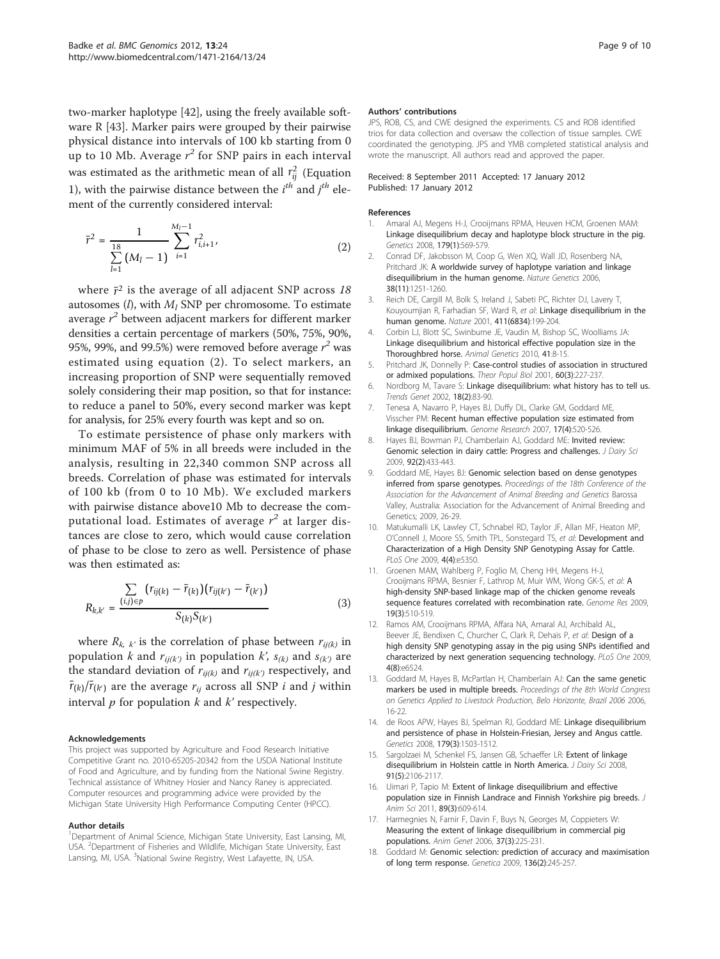<span id="page-8-0"></span>two-marker haplotype [\[42](#page-9-0)], using the freely available software R [[43\]](#page-9-0). Marker pairs were grouped by their pairwise physical distance into intervals of 100 kb starting from 0 up to 10 Mb. Average  $r^2$  for SNP pairs in each interval was estimated as the arithmetic mean of all  $r_{ij}^2$  (Equation 1), with the pairwise distance between the  $i^{th}$  and  $j^{th}$  element of the currently considered interval:

$$
\bar{r}^2 = \frac{1}{\sum_{l=1}^{18} (M_l - 1)} \sum_{i=1}^{M_l - 1} r_{i,i+1}^2,
$$
\n(2)

where  $\bar{r}^2$  is the average of all adjacent SNP across 18 autosomes  $(l)$ , with  $M_l$  SNP per chromosome. To estimate average  $r^2$  between adjacent markers for different marker densities a certain percentage of markers (50%, 75%, 90%, 95%, 99%, and 99.5%) were removed before average  $r^2$  was estimated using equation (2). To select markers, an increasing proportion of SNP were sequentially removed solely considering their map position, so that for instance: to reduce a panel to 50%, every second marker was kept for analysis, for 25% every fourth was kept and so on.

To estimate persistence of phase only markers with minimum MAF of 5% in all breeds were included in the analysis, resulting in 22,340 common SNP across all breeds. Correlation of phase was estimated for intervals of 100 kb (from 0 to 10 Mb). We excluded markers with pairwise distance above10 Mb to decrease the computational load. Estimates of average  $r^2$  at larger distances are close to zero, which would cause correlation of phase to be close to zero as well. Persistence of phase was then estimated as:

$$
R_{k,k'} = \frac{\sum_{(i,j)\in p} (r_{ij(k)} - \bar{r}_{(k)})(r_{ij(k')} - \bar{r}_{(k')})}{S_{(k)}S_{(k')}} \tag{3}
$$

where  $R_{k, k'}$  is the correlation of phase between  $r_{ij(k)}$  in population k and  $r_{ij(k)}$  in population k',  $s_{(k)}$  and  $s_{(k')}$  are the standard deviation of  $r_{ij(k)}$  and  $r_{ij(k')}$  respectively, and  $\bar{r}_{(k)}/\bar{r}_{(k')}$  are the average  $r_{ij}$  across all SNP  $i$  and  $j$  within interval  $p$  for population  $k$  and  $k'$  respectively.

#### Acknowledgements

This project was supported by Agriculture and Food Research Initiative Competitive Grant no. 2010-65205-20342 from the USDA National Institute of Food and Agriculture, and by funding from the National Swine Registry. Technical assistance of Whitney Hosier and Nancy Raney is appreciated. Computer resources and programming advice were provided by the Michigan State University High Performance Computing Center (HPCC).

#### Author details

<sup>1</sup>Department of Animal Science, Michigan State University, East Lansing, MI, USA. <sup>2</sup>Department of Fisheries and Wildlife, Michigan State University, East Lansing, MI, USA. <sup>3</sup>National Swine Registry, West Lafayette, IN, USA.

#### Authors' contributions

JPS, ROB, CS, and CWE designed the experiments. CS and ROB identified trios for data collection and oversaw the collection of tissue samples. CWE coordinated the genotyping. JPS and YMB completed statistical analysis and wrote the manuscript. All authors read and approved the paper.

#### Received: 8 September 2011 Accepted: 17 January 2012 Published: 17 January 2012

#### References

- Amaral AJ, Megens H-J, Crooijmans RPMA, Heuven HCM, Groenen MAM: [Linkage disequilibrium decay and haplotype block structure in the pig.](http://www.ncbi.nlm.nih.gov/pubmed/18493072?dopt=Abstract) Genetics 2008, 179(1):569-579.
- 2. Conrad DF, Jakobsson M, Coop G, Wen XQ, Wall JD, Rosenberg NA, Pritchard JK: [A worldwide survey of haplotype variation and linkage](http://www.ncbi.nlm.nih.gov/pubmed/17057719?dopt=Abstract) [disequilibrium in the human genome.](http://www.ncbi.nlm.nih.gov/pubmed/17057719?dopt=Abstract) Nature Genetics 2006, 38(11):1251-1260.
- Reich DE, Cargill M, Bolk S, Ireland J, Sabeti PC, Richter DJ, Lavery T, Kouyoumjian R, Farhadian SF, Ward R, et al: [Linkage disequilibrium in the](http://www.ncbi.nlm.nih.gov/pubmed/11346797?dopt=Abstract) [human genome.](http://www.ncbi.nlm.nih.gov/pubmed/11346797?dopt=Abstract) Nature 2001, 411(6834):199-204.
- 4. Corbin LJ, Blott SC, Swinburne JE, Vaudin M, Bishop SC, Woolliams JA: [Linkage disequilibrium and historical effective population size in the](http://www.ncbi.nlm.nih.gov/pubmed/21070270?dopt=Abstract) [Thoroughbred horse.](http://www.ncbi.nlm.nih.gov/pubmed/21070270?dopt=Abstract) Animal Genetics 2010, 41:8-15.
- 5. Pritchard JK, Donnelly P: [Case-control studies of association in structured](http://www.ncbi.nlm.nih.gov/pubmed/11855957?dopt=Abstract) [or admixed populations.](http://www.ncbi.nlm.nih.gov/pubmed/11855957?dopt=Abstract) Theor Popul Biol 2001, 60(3):227-237.
- 6. Nordborg M, Tavare S: [Linkage disequilibrium: what history has to tell us.](http://www.ncbi.nlm.nih.gov/pubmed/11818140?dopt=Abstract) Trends Genet 2002, 18(2):83-90.
- 7. Tenesa A, Navarro P, Hayes BJ, Duffy DL, Clarke GM, Goddard ME, Visscher PM: [Recent human effective population size estimated from](http://www.ncbi.nlm.nih.gov/pubmed/17351134?dopt=Abstract) [linkage disequilibrium.](http://www.ncbi.nlm.nih.gov/pubmed/17351134?dopt=Abstract) Genome Research 2007, 17(4):520-526.
- 8. Hayes BJ, Bowman PJ, Chamberlain AJ, Goddard ME: [Invited review:](http://www.ncbi.nlm.nih.gov/pubmed/19164653?dopt=Abstract) [Genomic selection in dairy cattle: Progress and challenges.](http://www.ncbi.nlm.nih.gov/pubmed/19164653?dopt=Abstract) J Dairy Sci 2009, 92(2):433-443.
- 9. Goddard ME, Hayes BJ: Genomic selection based on dense genotypes inferred from sparse genotypes. Proceedings of the 18th Conference of the Association for the Advancement of Animal Breeding and Genetics Barossa Valley, Australia: Association for the Advancement of Animal Breeding and Genetics; 2009, 26-29.
- 10. Matukumalli LK, Lawley CT, Schnabel RD, Taylor JF, Allan MF, Heaton MP, O'Connell J, Moore SS, Smith TPL, Sonstegard TS, et al: [Development and](http://www.ncbi.nlm.nih.gov/pubmed/19390634?dopt=Abstract) [Characterization of a High Density SNP Genotyping Assay for Cattle.](http://www.ncbi.nlm.nih.gov/pubmed/19390634?dopt=Abstract) PLoS One 2009, 4(4):e5350.
- 11. Groenen MAM, Wahlberg P, Foglio M, Cheng HH, Megens H-J, Crooijmans RPM[A](http://www.ncbi.nlm.nih.gov/pubmed/19088305?dopt=Abstract), Besnier F, Lathrop M, Muir WM, Wong GK-S, et al: A [high-density SNP-based linkage map of the chicken genome reveals](http://www.ncbi.nlm.nih.gov/pubmed/19088305?dopt=Abstract) [sequence features correlated with recombination rate.](http://www.ncbi.nlm.nih.gov/pubmed/19088305?dopt=Abstract) Genome Res 2009, 19(3):510-519.
- 12. Ramos AM, Crooijmans RPMA, Affara NA, Amaral AJ, Archibald AL, Beever JE, Bendixen C, Churcher C, Clark R, Dehais P, et al: [Design of a](http://www.ncbi.nlm.nih.gov/pubmed/19654876?dopt=Abstract) [high density SNP genotyping assay in the pig using SNPs identified and](http://www.ncbi.nlm.nih.gov/pubmed/19654876?dopt=Abstract) [characterized by next generation sequencing technology.](http://www.ncbi.nlm.nih.gov/pubmed/19654876?dopt=Abstract) PLoS One 2009, 4(8):e6524.
- 13. Goddard M, Hayes B, McPartlan H, Chamberlain AJ: Can the same genetic markers be used in multiple breeds. Proceedings of the 8th World Congress on Genetics Applied to Livestock Production, Belo Horizonte, Brazil 2006 2006, 16-22.
- 14. de Roos APW, Hayes BJ, Spelman RJ, Goddard ME: [Linkage disequilibrium](http://www.ncbi.nlm.nih.gov/pubmed/18622038?dopt=Abstract) [and persistence of phase in Holstein-Friesian, Jersey and Angus cattle.](http://www.ncbi.nlm.nih.gov/pubmed/18622038?dopt=Abstract) Genetics 2008, 179(3):1503-1512.
- 15. Sargolzaei M, Schenkel FS, Jansen GB, Schaeffer LR: [Extent of linkage](http://www.ncbi.nlm.nih.gov/pubmed/18420642?dopt=Abstract) [disequilibrium in Holstein cattle in North America.](http://www.ncbi.nlm.nih.gov/pubmed/18420642?dopt=Abstract) J Dairy Sci 2008, 91(5):2106-2117.
- 16. Uimari P, Tapio M: [Extent of linkage disequilibrium and effective](http://www.ncbi.nlm.nih.gov/pubmed/21036932?dopt=Abstract) [population size in Finnish Landrace and Finnish Yorkshire pig breeds.](http://www.ncbi.nlm.nih.gov/pubmed/21036932?dopt=Abstract) J Anim Sci 2011, 89(3):609-614.
- 17. Harmegnies N, Farnir F, Davin F, Buys N, Georges M, Coppieters W: [Measuring the extent of linkage disequilibrium in commercial pig](http://www.ncbi.nlm.nih.gov/pubmed/16734681?dopt=Abstract) [populations.](http://www.ncbi.nlm.nih.gov/pubmed/16734681?dopt=Abstract) Anim Genet 2006, 37(3):225-231.
- 18. Goddard M: [Genomic selection: prediction of accuracy and maximisation](http://www.ncbi.nlm.nih.gov/pubmed/18704696?dopt=Abstract) [of long term response.](http://www.ncbi.nlm.nih.gov/pubmed/18704696?dopt=Abstract) Genetica 2009, 136(2):245-257.